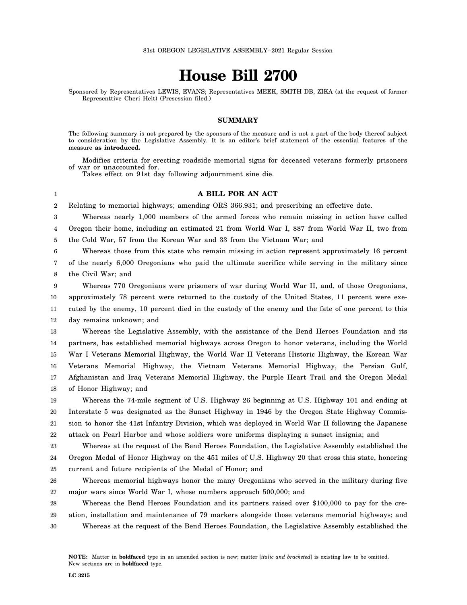# **House Bill 2700**

Sponsored by Representatives LEWIS, EVANS; Representatives MEEK, SMITH DB, ZIKA (at the request of former Representtive Cheri Helt) (Presession filed.)

## **SUMMARY**

The following summary is not prepared by the sponsors of the measure and is not a part of the body thereof subject to consideration by the Legislative Assembly. It is an editor's brief statement of the essential features of the measure **as introduced.**

Modifies criteria for erecting roadside memorial signs for deceased veterans formerly prisoners of war or unaccounted for.

Takes effect on 91st day following adjournment sine die.

## **A BILL FOR AN ACT**

2 Relating to memorial highways; amending ORS 366.931; and prescribing an effective date.

3 4 5 Whereas nearly 1,000 members of the armed forces who remain missing in action have called Oregon their home, including an estimated 21 from World War I, 887 from World War II, two from the Cold War, 57 from the Korean War and 33 from the Vietnam War; and

6 Whereas those from this state who remain missing in action represent approximately 16 percent

7 8 of the nearly 6,000 Oregonians who paid the ultimate sacrifice while serving in the military since the Civil War; and

9 10 11 12 Whereas 770 Oregonians were prisoners of war during World War II, and, of those Oregonians, approximately 78 percent were returned to the custody of the United States, 11 percent were executed by the enemy, 10 percent died in the custody of the enemy and the fate of one percent to this day remains unknown; and

13 14 15 16 17 18 Whereas the Legislative Assembly, with the assistance of the Bend Heroes Foundation and its partners, has established memorial highways across Oregon to honor veterans, including the World War I Veterans Memorial Highway, the World War II Veterans Historic Highway, the Korean War Veterans Memorial Highway, the Vietnam Veterans Memorial Highway, the Persian Gulf, Afghanistan and Iraq Veterans Memorial Highway, the Purple Heart Trail and the Oregon Medal of Honor Highway; and

19 20 21 22 Whereas the 74-mile segment of U.S. Highway 26 beginning at U.S. Highway 101 and ending at Interstate 5 was designated as the Sunset Highway in 1946 by the Oregon State Highway Commission to honor the 41st Infantry Division, which was deployed in World War II following the Japanese attack on Pearl Harbor and whose soldiers wore uniforms displaying a sunset insignia; and

23 24 25 Whereas at the request of the Bend Heroes Foundation, the Legislative Assembly established the Oregon Medal of Honor Highway on the 451 miles of U.S. Highway 20 that cross this state, honoring current and future recipients of the Medal of Honor; and

26 27 Whereas memorial highways honor the many Oregonians who served in the military during five major wars since World War I, whose numbers approach 500,000; and

28 29 30 Whereas the Bend Heroes Foundation and its partners raised over \$100,000 to pay for the creation, installation and maintenance of 79 markers alongside those veterans memorial highways; and Whereas at the request of the Bend Heroes Foundation, the Legislative Assembly established the

1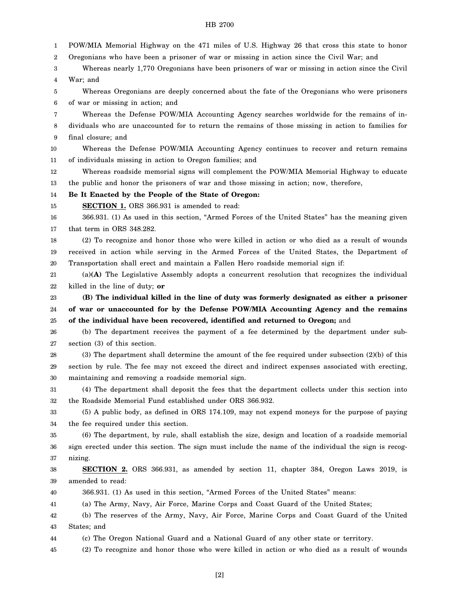#### HB 2700

1 2 3 4 5 6 7 8 9 10 11 12 13 14 15 16 17 18 19 20 21 22 23 24 25 26 27 28 29 30 31 32 33 34 35 36 37 38 39 40 41 42 43 44 45 POW/MIA Memorial Highway on the 471 miles of U.S. Highway 26 that cross this state to honor Oregonians who have been a prisoner of war or missing in action since the Civil War; and Whereas nearly 1,770 Oregonians have been prisoners of war or missing in action since the Civil War; and Whereas Oregonians are deeply concerned about the fate of the Oregonians who were prisoners of war or missing in action; and Whereas the Defense POW/MIA Accounting Agency searches worldwide for the remains of individuals who are unaccounted for to return the remains of those missing in action to families for final closure; and Whereas the Defense POW/MIA Accounting Agency continues to recover and return remains of individuals missing in action to Oregon families; and Whereas roadside memorial signs will complement the POW/MIA Memorial Highway to educate the public and honor the prisoners of war and those missing in action; now, therefore, **Be It Enacted by the People of the State of Oregon: SECTION 1.** ORS 366.931 is amended to read: 366.931. (1) As used in this section, "Armed Forces of the United States" has the meaning given that term in ORS 348.282. (2) To recognize and honor those who were killed in action or who died as a result of wounds received in action while serving in the Armed Forces of the United States, the Department of Transportation shall erect and maintain a Fallen Hero roadside memorial sign if: (a)**(A)** The Legislative Assembly adopts a concurrent resolution that recognizes the individual killed in the line of duty; **or (B) The individual killed in the line of duty was formerly designated as either a prisoner of war or unaccounted for by the Defense POW/MIA Accounting Agency and the remains of the individual have been recovered, identified and returned to Oregon;** and (b) The department receives the payment of a fee determined by the department under subsection (3) of this section. (3) The department shall determine the amount of the fee required under subsection (2)(b) of this section by rule. The fee may not exceed the direct and indirect expenses associated with erecting, maintaining and removing a roadside memorial sign. (4) The department shall deposit the fees that the department collects under this section into the Roadside Memorial Fund established under ORS 366.932. (5) A public body, as defined in ORS 174.109, may not expend moneys for the purpose of paying the fee required under this section. (6) The department, by rule, shall establish the size, design and location of a roadside memorial sign erected under this section. The sign must include the name of the individual the sign is recognizing. **SECTION 2.** ORS 366.931, as amended by section 11, chapter 384, Oregon Laws 2019, is amended to read: 366.931. (1) As used in this section, "Armed Forces of the United States" means: (a) The Army, Navy, Air Force, Marine Corps and Coast Guard of the United States; (b) The reserves of the Army, Navy, Air Force, Marine Corps and Coast Guard of the United States; and (c) The Oregon National Guard and a National Guard of any other state or territory. (2) To recognize and honor those who were killed in action or who died as a result of wounds